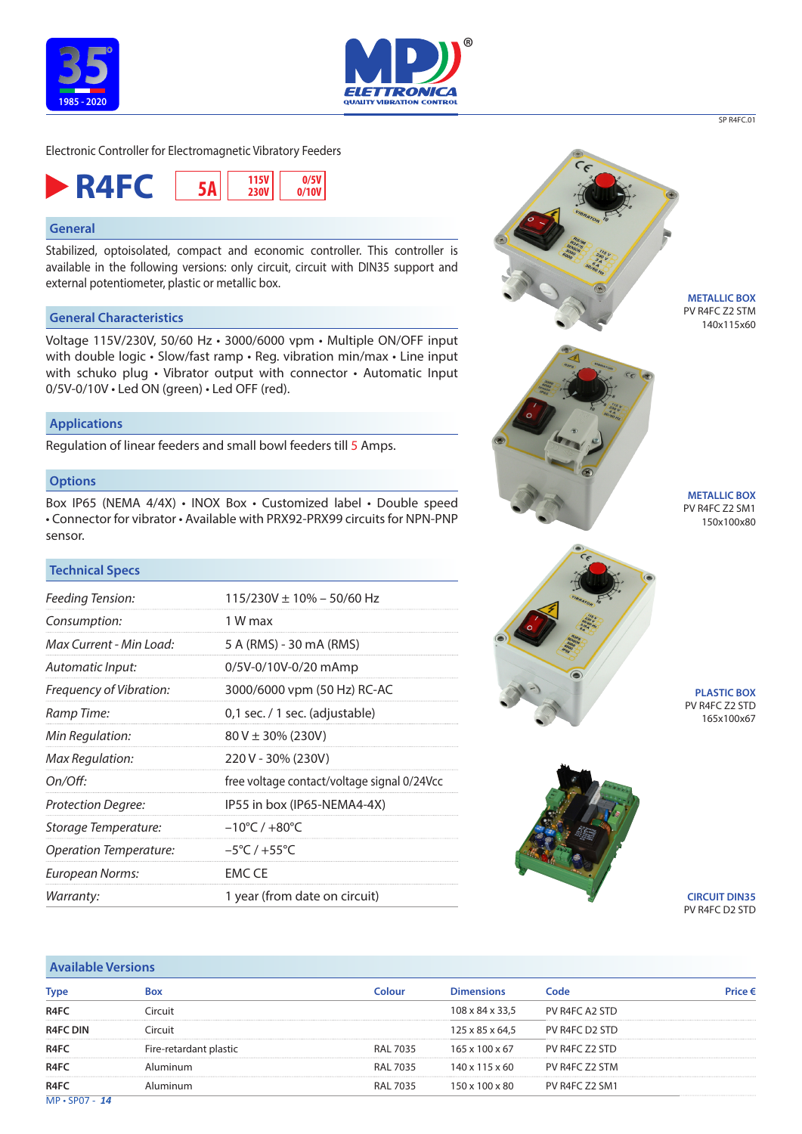





# **General**

Stabilized, optoisolated, compact and economic controller. This controller is available in the following versions: only circuit, circuit with DIN35 support and external potentiometer, plastic or metallic box.

# **General Characteristics**

Voltage 115V/230V, 50/60 Hz • 3000/6000 vpm • Multiple ON/OFF input with double logic • Slow/fast ramp • Reg. vibration min/max • Line input with schuko plug • Vibrator output with connector • Automatic Input 0/5V-0/10V • Led ON (green) • Led OFF (red).

#### **Applications**

Regulation of linear feeders and small bowl feeders till 5 Amps.

### **Options**

Box IP65 (NEMA 4/4X) • INOX Box • Customized label • Double speed • Connector for vibrator • Available with PRX92-PRX99 circuits for NPN-PNP sensor.

## **Technical Specs**

| Feeding Tension:              | $115/230V \pm 10\% - 50/60$ Hz              |  |  |  |
|-------------------------------|---------------------------------------------|--|--|--|
| Consumption:                  | 1 W max                                     |  |  |  |
| Max Current - Min Load:       | 5 A (RMS) - 30 mA (RMS)                     |  |  |  |
| Automatic Input:              | 0/5V-0/10V-0/20 mAmp                        |  |  |  |
| Frequency of Vibration:       | 3000/6000 vpm (50 Hz) RC-AC                 |  |  |  |
| Ramp Time:                    | 0,1 sec. / 1 sec. (adjustable)              |  |  |  |
| Min Regulation:               | $80 V \pm 30\%$ (230V)                      |  |  |  |
| Max Regulation:               | 220 V - 30% (230V)                          |  |  |  |
| On/Off:                       | free voltage contact/voltage signal 0/24Vcc |  |  |  |
| <b>Protection Degree:</b>     | IP55 in box (IP65-NEMA4-4X)                 |  |  |  |
| Storage Temperature:          | $-10^{\circ}$ C / $+80^{\circ}$ C           |  |  |  |
| <b>Operation Temperature:</b> | $-5^{\circ}$ C / +55 $^{\circ}$ C           |  |  |  |
| European Norms:               | <b>EMC CE</b>                               |  |  |  |
| Warranty:                     | 1 year (from date on circuit)               |  |  |  |



PV R4FC Z2 STM 140x115x60

SP R4FC.01

PV R4FC Z2 SM1 150x100x80

**PLASTIC BOX** PV R4FC Z2 STD 165x100x67



**CIRCUIT DIN35** PV R4FC D2 STD

| <b>Available Versions</b> |                        |                 |                   |                |         |  |
|---------------------------|------------------------|-----------------|-------------------|----------------|---------|--|
| <b>Type</b>               | <b>Box</b>             | Colour          | <b>Dimensions</b> | Code           | Price € |  |
| R <sub>4</sub> FC         | Circuit                |                 | 108 x 84 x 33.5   | PV R4FC A2 STD |         |  |
| <b>R4FC DIN</b>           | Circuit                |                 | 125 x 85 x 64,5   | PV R4FC D2 STD |         |  |
| R <sub>4</sub> FC         | Fire-retardant plastic | <b>RAL 7035</b> | 165 x 100 x 67    | PV R4FC Z2 STD |         |  |
| R <sub>4</sub> FC         | Aluminum               | RAL 7035        | 140 x 115 x 60    | PV R4FC Z2 STM |         |  |
| R <sub>4</sub> FC         | Aluminum               | <b>RAL 7035</b> | 150 x 100 x 80    | PV R4FC Z2 SM1 |         |  |
| $MP \cdot SP07 - 14$      |                        |                 |                   |                |         |  |